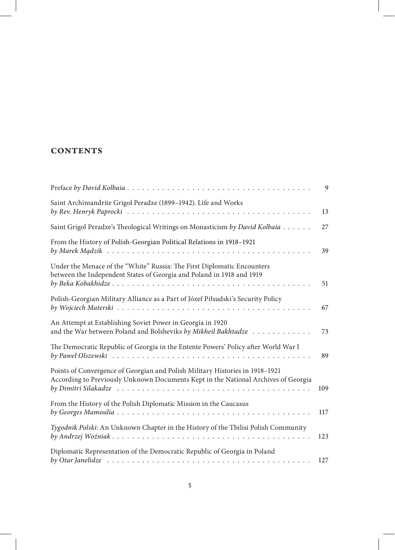## **CONTENTS**

|                                                                                                                                                                    | 9   |
|--------------------------------------------------------------------------------------------------------------------------------------------------------------------|-----|
| Saint Archimandrite Grigol Peradze (1899-1942). Life and Works                                                                                                     | 13  |
| Saint Grigol Peradze's Theological Writings on Monasticism by David Kolbaia                                                                                        | 27  |
| From the History of Polish-Georgian Political Relations in 1918-1921                                                                                               | 39  |
| Under the Menace of the "White" Russia: The First Diplomatic Encounters<br>between the Independent States of Georgia and Poland in 1918 and 1919                   | 51  |
| Polish-Georgian Military Alliance as a Part of Józef Piłsudski's Security Policy                                                                                   | 67  |
| An Attempt at Establishing Soviet Power in Georgia in 1920<br>and the War between Poland and Bolsheviks by Mikheil Bakhtadze                                       | 73  |
| The Democratic Republic of Georgia in the Entente Powers' Policy after World War I                                                                                 | 89  |
| Points of Convergence of Georgian and Polish Military Histories in 1918-1921<br>According to Previously Unknown Documents Kept in the National Archives of Georgia | 109 |
| From the History of the Polish Diplomatic Mission in the Caucasus                                                                                                  | 117 |
| Tygodnik Polski: An Unknown Chapter in the History of the Tbilisi Polish Community                                                                                 | 123 |
| Diplomatic Representation of the Democratic Republic of Georgia in Poland                                                                                          | 127 |